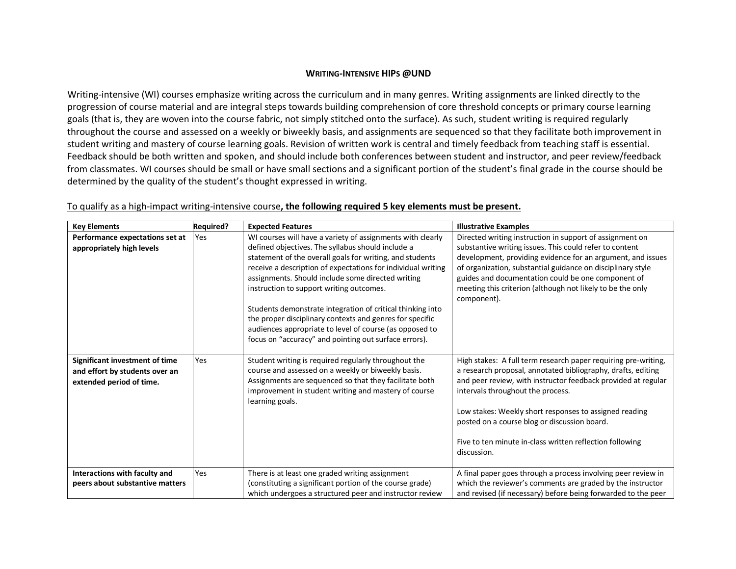## **WRITING-INTENSIVE HIPS @UND**

Writing-intensive (WI) courses emphasize writing across the curriculum and in many genres. Writing assignments are linked directly to the progression of course material and are integral steps towards building comprehension of core threshold concepts or primary course learning goals (that is, they are woven into the course fabric, not simply stitched onto the surface). As such, student writing is required regularly throughout the course and assessed on a weekly or biweekly basis, and assignments are sequenced so that they facilitate both improvement in student writing and mastery of course learning goals. Revision of written work is central and timely feedback from teaching staff is essential. Feedback should be both written and spoken, and should include both conferences between student and instructor, and peer review/feedback from classmates. WI courses should be small or have small sections and a significant portion of the student's final grade in the course should be determined by the quality of the student's thought expressed in writing.

| <b>Key Elements</b>                                                                          | <b>Required?</b> | <b>Expected Features</b>                                                                                                                                                                                                                                                                                                                                                                                                                                                                                                                                                                   | <b>Illustrative Examples</b>                                                                                                                                                                                                                                                                                                                                                                                              |
|----------------------------------------------------------------------------------------------|------------------|--------------------------------------------------------------------------------------------------------------------------------------------------------------------------------------------------------------------------------------------------------------------------------------------------------------------------------------------------------------------------------------------------------------------------------------------------------------------------------------------------------------------------------------------------------------------------------------------|---------------------------------------------------------------------------------------------------------------------------------------------------------------------------------------------------------------------------------------------------------------------------------------------------------------------------------------------------------------------------------------------------------------------------|
| Performance expectations set at<br>appropriately high levels                                 | Yes              | WI courses will have a variety of assignments with clearly<br>defined objectives. The syllabus should include a<br>statement of the overall goals for writing, and students<br>receive a description of expectations for individual writing<br>assignments. Should include some directed writing<br>instruction to support writing outcomes.<br>Students demonstrate integration of critical thinking into<br>the proper disciplinary contexts and genres for specific<br>audiences appropriate to level of course (as opposed to<br>focus on "accuracy" and pointing out surface errors). | Directed writing instruction in support of assignment on<br>substantive writing issues. This could refer to content<br>development, providing evidence for an argument, and issues<br>of organization, substantial guidance on disciplinary style<br>guides and documentation could be one component of<br>meeting this criterion (although not likely to be the only<br>component).                                      |
| Significant investment of time<br>and effort by students over an<br>extended period of time. | Yes              | Student writing is required regularly throughout the<br>course and assessed on a weekly or biweekly basis.<br>Assignments are sequenced so that they facilitate both<br>improvement in student writing and mastery of course<br>learning goals.                                                                                                                                                                                                                                                                                                                                            | High stakes: A full term research paper requiring pre-writing,<br>a research proposal, annotated bibliography, drafts, editing<br>and peer review, with instructor feedback provided at regular<br>intervals throughout the process.<br>Low stakes: Weekly short responses to assigned reading<br>posted on a course blog or discussion board.<br>Five to ten minute in-class written reflection following<br>discussion. |
| Interactions with faculty and<br>peers about substantive matters                             | Yes              | There is at least one graded writing assignment<br>(constituting a significant portion of the course grade)<br>which undergoes a structured peer and instructor review                                                                                                                                                                                                                                                                                                                                                                                                                     | A final paper goes through a process involving peer review in<br>which the reviewer's comments are graded by the instructor<br>and revised (if necessary) before being forwarded to the peer                                                                                                                                                                                                                              |

## To qualify as a high-impact writing-intensive course**, the following required 5 key elements must be present.**